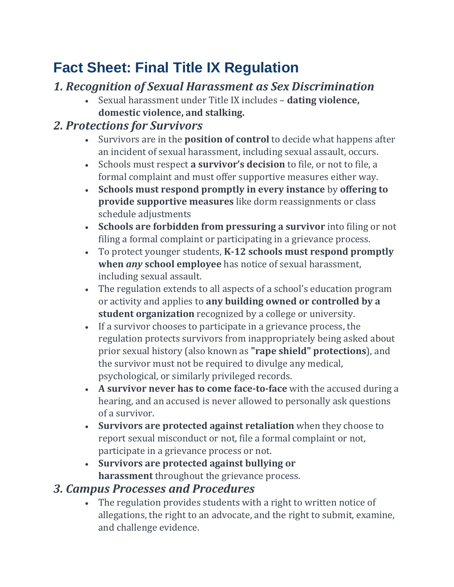## **Fact Sheet: Final Title IX Regulation**

## *1. Recognition of Sexual Harassment as Sex Discrimination*

• Sexual harassment under Title IX includes – **dating violence, domestic violence, and stalking.**

## *2. Protections for Survivors*

- Survivors are in the **position of control** to decide what happens after an incident of sexual harassment, including sexual assault, occurs.
- Schools must respect **a survivor's decision** to file, or not to file, a formal complaint and must offer supportive measures either way.
- **Schools must respond promptly in every instance** by **offering to provide supportive measures** like dorm reassignments or class schedule adjustments
- **Schools are forbidden from pressuring a survivor** into filing or not filing a formal complaint or participating in a grievance process.
- To protect younger students, **K-12 schools must respond promptly when** *any* **school employee** has notice of sexual harassment, including sexual assault.
- The regulation extends to all aspects of a school's education program or activity and applies to **any building owned or controlled by a student organization** recognized by a college or university.
- If a survivor chooses to participate in a grievance process, the regulation protects survivors from inappropriately being asked about prior sexual history (also known as **"rape shield" protections**), and the survivor must not be required to divulge any medical, psychological, or similarly privileged records.
- **A survivor never has to come face-to-face** with the accused during a hearing, and an accused is never allowed to personally ask questions of a survivor.
- **Survivors are protected against retaliation** when they choose to report sexual misconduct or not, file a formal complaint or not, participate in a grievance process or not.
- **Survivors are protected against bullying or harassment** throughout the grievance process.
- *3. Campus Processes and Procedures*
	- The regulation provides students with a right to written notice of allegations, the right to an advocate, and the right to submit, examine, and challenge evidence.